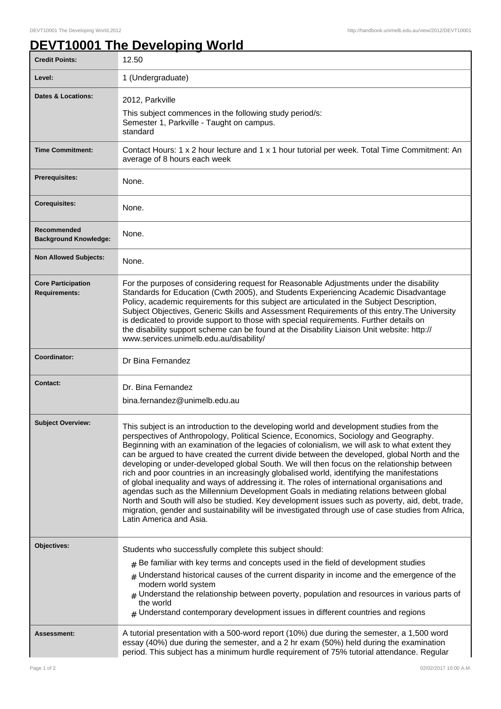## **DEVT10001 The Developing World**

| <b>Credit Points:</b>                             | 12.50                                                                                                                                                                                                                                                                                                                                                                                                                                                                                                                                                                                                                                                                                                                                                                                                                                                                                                                                                                                                        |
|---------------------------------------------------|--------------------------------------------------------------------------------------------------------------------------------------------------------------------------------------------------------------------------------------------------------------------------------------------------------------------------------------------------------------------------------------------------------------------------------------------------------------------------------------------------------------------------------------------------------------------------------------------------------------------------------------------------------------------------------------------------------------------------------------------------------------------------------------------------------------------------------------------------------------------------------------------------------------------------------------------------------------------------------------------------------------|
| Level:                                            | 1 (Undergraduate)                                                                                                                                                                                                                                                                                                                                                                                                                                                                                                                                                                                                                                                                                                                                                                                                                                                                                                                                                                                            |
| <b>Dates &amp; Locations:</b>                     | 2012, Parkville<br>This subject commences in the following study period/s:<br>Semester 1, Parkville - Taught on campus.<br>standard                                                                                                                                                                                                                                                                                                                                                                                                                                                                                                                                                                                                                                                                                                                                                                                                                                                                          |
| <b>Time Commitment:</b>                           | Contact Hours: 1 x 2 hour lecture and 1 x 1 hour tutorial per week. Total Time Commitment: An<br>average of 8 hours each week                                                                                                                                                                                                                                                                                                                                                                                                                                                                                                                                                                                                                                                                                                                                                                                                                                                                                |
| <b>Prerequisites:</b>                             | None.                                                                                                                                                                                                                                                                                                                                                                                                                                                                                                                                                                                                                                                                                                                                                                                                                                                                                                                                                                                                        |
| <b>Corequisites:</b>                              | None.                                                                                                                                                                                                                                                                                                                                                                                                                                                                                                                                                                                                                                                                                                                                                                                                                                                                                                                                                                                                        |
| Recommended<br><b>Background Knowledge:</b>       | None.                                                                                                                                                                                                                                                                                                                                                                                                                                                                                                                                                                                                                                                                                                                                                                                                                                                                                                                                                                                                        |
| <b>Non Allowed Subjects:</b>                      | None.                                                                                                                                                                                                                                                                                                                                                                                                                                                                                                                                                                                                                                                                                                                                                                                                                                                                                                                                                                                                        |
| <b>Core Participation</b><br><b>Requirements:</b> | For the purposes of considering request for Reasonable Adjustments under the disability<br>Standards for Education (Cwth 2005), and Students Experiencing Academic Disadvantage<br>Policy, academic requirements for this subject are articulated in the Subject Description,<br>Subject Objectives, Generic Skills and Assessment Requirements of this entry. The University<br>is dedicated to provide support to those with special requirements. Further details on<br>the disability support scheme can be found at the Disability Liaison Unit website: http://<br>www.services.unimelb.edu.au/disability/                                                                                                                                                                                                                                                                                                                                                                                             |
| Coordinator:                                      | Dr Bina Fernandez                                                                                                                                                                                                                                                                                                                                                                                                                                                                                                                                                                                                                                                                                                                                                                                                                                                                                                                                                                                            |
| <b>Contact:</b>                                   | Dr. Bina Fernandez<br>bina.fernandez@unimelb.edu.au                                                                                                                                                                                                                                                                                                                                                                                                                                                                                                                                                                                                                                                                                                                                                                                                                                                                                                                                                          |
| <b>Subject Overview:</b>                          | This subject is an introduction to the developing world and development studies from the<br>perspectives of Anthropology, Political Science, Economics, Sociology and Geography.<br>Beginning with an examination of the legacies of colonialism, we will ask to what extent they<br>can be argued to have created the current divide between the developed, global North and the<br>developing or under-developed global South. We will then focus on the relationship between<br>rich and poor countries in an increasingly globalised world, identifying the manifestations<br>of global inequality and ways of addressing it. The roles of international organisations and<br>agendas such as the Millennium Development Goals in mediating relations between global<br>North and South will also be studied. Key development issues such as poverty, aid, debt, trade,<br>migration, gender and sustainability will be investigated through use of case studies from Africa,<br>Latin America and Asia. |
| Objectives:                                       | Students who successfully complete this subject should:<br>$_{\#}$ Be familiar with key terms and concepts used in the field of development studies<br>$#$ Understand historical causes of the current disparity in income and the emergence of the<br>modern world system<br>$#$ Understand the relationship between poverty, population and resources in various parts of<br>the world<br>$*$ Understand contemporary development issues in different countries and regions                                                                                                                                                                                                                                                                                                                                                                                                                                                                                                                                |
| <b>Assessment:</b>                                | A tutorial presentation with a 500-word report (10%) due during the semester, a 1,500 word<br>essay (40%) due during the semester, and a 2 hr exam (50%) held during the examination<br>period. This subject has a minimum hurdle requirement of 75% tutorial attendance. Regular                                                                                                                                                                                                                                                                                                                                                                                                                                                                                                                                                                                                                                                                                                                            |